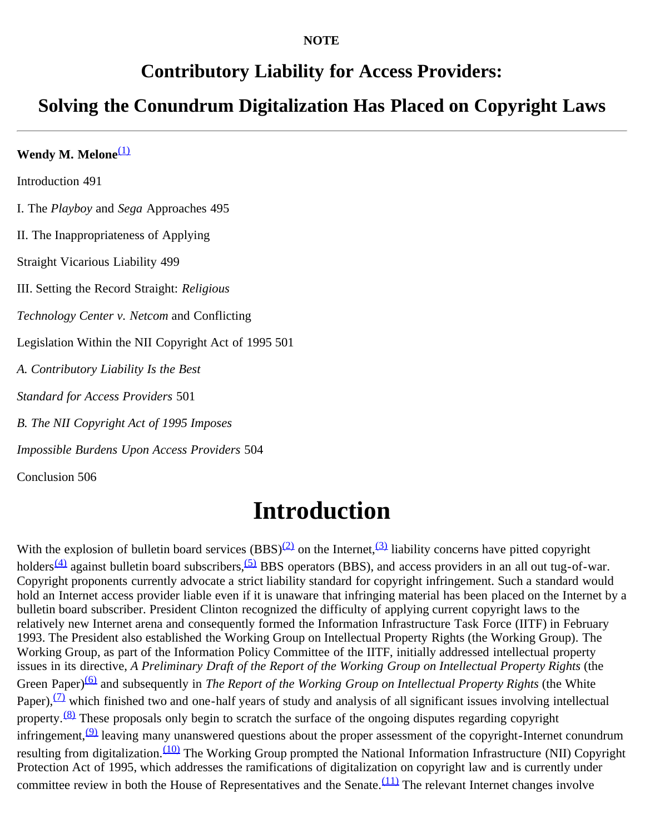#### **NOTE**

### **Contributory Liability for Access Providers:**

## **Solving the Conundrum Digitalization Has Placed on Copyright Laws**

Wendy M. Melone<sup>[\(1\)](#page-6-0)</sup> Introduction 491 I. The *Playboy* and *Sega* Approaches 495 II. The Inappropriateness of Applying Straight Vicarious Liability 499 III. Setting the Record Straight: *Religious Technology Center v. Netcom* and Conflicting Legislation Within the NII Copyright Act of 1995 501 *A. Contributory Liability Is the Best Standard for Access Providers* 501 *B. The NII Copyright Act of 1995 Imposes Impossible Burdens Upon Access Providers* 504 Conclusion 506

# **Introduction**

With the explosion of bulletin board services  $(BBS)^{(2)}$  $(BBS)^{(2)}$  $(BBS)^{(2)}$  on the Internet,<sup>(3)</sup> liability concerns have pitted copyright holders<sup>[\(4\)](#page-6-3)</sup> against bulletin board subscribers,<sup>[\(5\)](#page-6-4)</sup> BBS operators (BBS), and access providers in an all out tug-of-war. Copyright proponents currently advocate a strict liability standard for copyright infringement. Such a standard would hold an Internet access provider liable even if it is unaware that infringing material has been placed on the Internet by a bulletin board subscriber. President Clinton recognized the difficulty of applying current copyright laws to the relatively new Internet arena and consequently formed the Information Infrastructure Task Force (IITF) in February 1993. The President also established the Working Group on Intellectual Property Rights (the Working Group). The Working Group, as part of the Information Policy Committee of the IITF, initially addressed intellectual property issues in its directive, *A Preliminary Draft of the Report of the Working Group on Intellectual Property Rights* (the Green Paper)<sup>(6)</sup> and subsequently in *The Report of the Working Group on Intellectual Property Rights* (the White Paper), $\overline{2}$  which finished two and one-half years of study and analysis of all significant issues involving intellectual property.<sup>[\(8\)](#page-7-1)</sup> These proposals only begin to scratch the surface of the ongoing disputes regarding copyright infringement,  $(9)$  leaving many unanswered questions about the proper assessment of the copyright-Internet conundrum resulting from digitalization.<sup>(10)</sup> The Working Group prompted the National Information Infrastructure (NII) Copyright Protection Act of 1995, which addresses the ramifications of digitalization on copyright law and is currently under committee review in both the House of Representatives and the Senate. $(11)$  The relevant Internet changes involve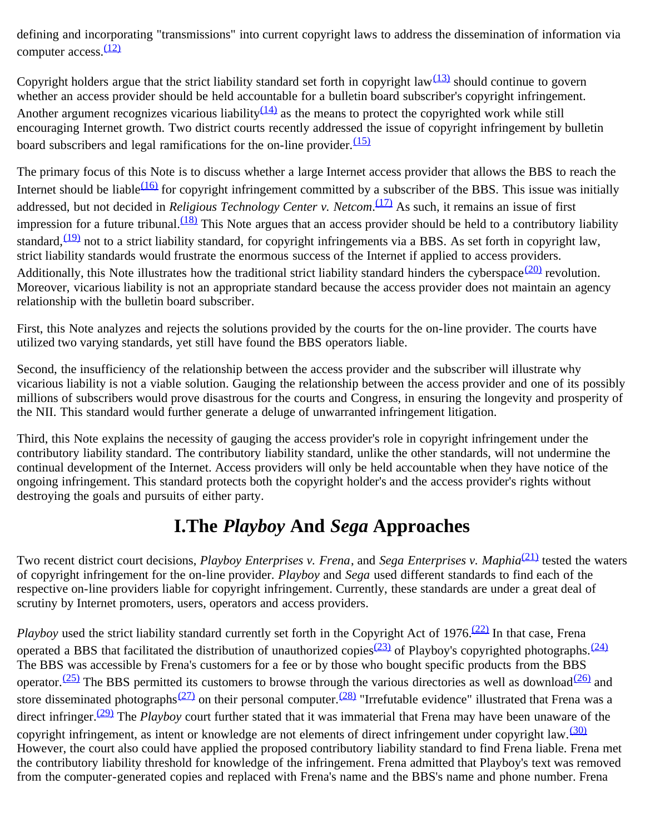defining and incorporating "transmissions" into current copyright laws to address the dissemination of information via computer  $access.\frac{(12)}{2}$  $access.\frac{(12)}{2}$  $access.\frac{(12)}{2}$ 

Copyright holders argue that the strict liability standard set forth in copyright law $(13)$  should continue to govern whether an access provider should be held accountable for a bulletin board subscriber's copyright infringement. Another argument recognizes vicarious liability $\frac{(14)}{2}$  as the means to protect the copyrighted work while still encouraging Internet growth. Two district courts recently addressed the issue of copyright infringement by bulletin board subscribers and legal ramifications for the on-line provider. $\frac{(15)}{(15)}$  $\frac{(15)}{(15)}$  $\frac{(15)}{(15)}$ 

The primary focus of this Note is to discuss whether a large Internet access provider that allows the BBS to reach the Internet should be liable<sup> $(16)$ </sup> for copyright infringement committed by a subscriber of the BBS. This issue was initially addressed, but not decided in *Religious Technology Center v. Netcom*. [\(17\)](#page-7-10) As such, it remains an issue of first impression for a future tribunal.<sup>(18)</sup> This Note argues that an access provider should be held to a contributory liability standard,  $(19)$  not to a strict liability standard, for copyright infringements via a BBS. As set forth in copyright law, strict liability standards would frustrate the enormous success of the Internet if applied to access providers. Additionally, this Note illustrates how the traditional strict liability standard hinders the cyberspace $\frac{(20)}{20}$  revolution. Moreover, vicarious liability is not an appropriate standard because the access provider does not maintain an agency relationship with the bulletin board subscriber.

First, this Note analyzes and rejects the solutions provided by the courts for the on-line provider. The courts have utilized two varying standards, yet still have found the BBS operators liable.

Second, the insufficiency of the relationship between the access provider and the subscriber will illustrate why vicarious liability is not a viable solution. Gauging the relationship between the access provider and one of its possibly millions of subscribers would prove disastrous for the courts and Congress, in ensuring the longevity and prosperity of the NII. This standard would further generate a deluge of unwarranted infringement litigation.

Third, this Note explains the necessity of gauging the access provider's role in copyright infringement under the contributory liability standard. The contributory liability standard, unlike the other standards, will not undermine the continual development of the Internet. Access providers will only be held accountable when they have notice of the ongoing infringement. This standard protects both the copyright holder's and the access provider's rights without destroying the goals and pursuits of either party.

## **I.The** *Playboy* **And** *Sega* **Approaches**

Two recent district court decisions, *Playboy Enterprises v. Frena*, and *Sega Enterprises v. Maphia*<sup>(21)</sup> tested the waters of copyright infringement for the on-line provider. *Playboy* and *Sega* used different standards to find each of the respective on-line providers liable for copyright infringement. Currently, these standards are under a great deal of scrutiny by Internet promoters, users, operators and access providers.

*Playboy* used the strict liability standard currently set forth in the Copyright Act of 1976.<sup>(22)</sup> In that case, Frena operated a BBS that facilitated the distribution of unauthorized copies<sup>(23)</sup> of Playboy's copyrighted photographs.<sup>[\(24\)](#page-8-6)</sup> The BBS was accessible by Frena's customers for a fee or by those who bought specific products from the BBS operator.<sup>(25)</sup> The BBS permitted its customers to browse through the various directories as well as download<sup>(26)</sup> and store disseminated photographs<sup>(27)</sup> on their personal computer.<sup>(28)</sup> "Irrefutable evidence" illustrated that Frena was a direct infringer.<sup>(29)</sup> The *Playboy* court further stated that it was immaterial that Frena may have been unaware of the copyright infringement, as intent or knowledge are not elements of direct infringement under copyright law.<sup>[\(30\)](#page-8-12)</sup> However, the court also could have applied the proposed contributory liability standard to find Frena liable. Frena met the contributory liability threshold for knowledge of the infringement. Frena admitted that Playboy's text was removed from the computer-generated copies and replaced with Frena's name and the BBS's name and phone number. Frena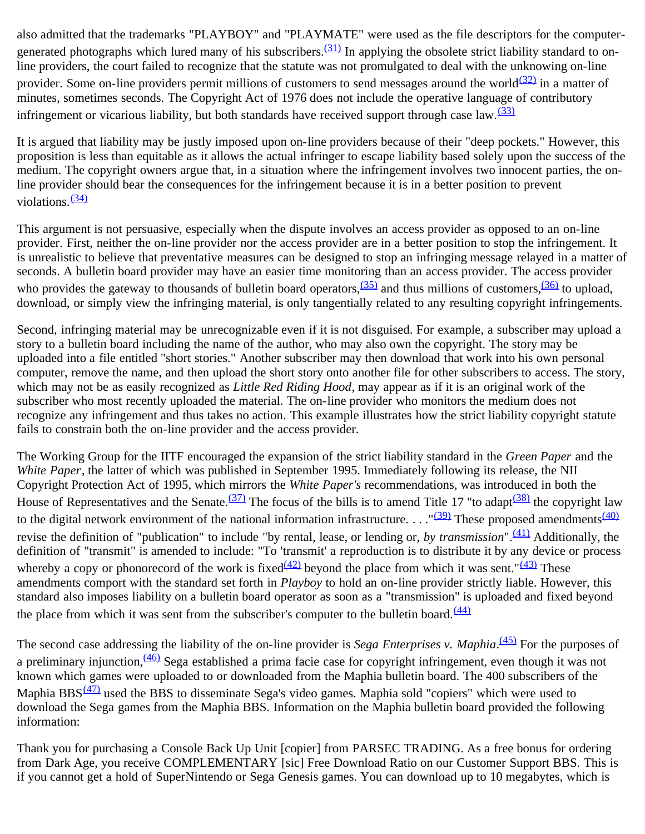also admitted that the trademarks "PLAYBOY" and "PLAYMATE" were used as the file descriptors for the computergenerated photographs which lured many of his subscribers. $(31)$  In applying the obsolete strict liability standard to online providers, the court failed to recognize that the statute was not promulgated to deal with the unknowing on-line provider. Some on-line providers permit millions of customers to send messages around the world $(32)$  in a matter of minutes, sometimes seconds. The Copyright Act of 1976 does not include the operative language of contributory infringement or vicarious liability, but both standards have received support through case law.<sup>[\(33\)](#page-8-15)</sup>

It is argued that liability may be justly imposed upon on-line providers because of their "deep pockets." However, this proposition is less than equitable as it allows the actual infringer to escape liability based solely upon the success of the medium. The copyright owners argue that, in a situation where the infringement involves two innocent parties, the online provider should bear the consequences for the infringement because it is in a better position to prevent violations<sup>[\(34\)](#page-8-16)</sup>

This argument is not persuasive, especially when the dispute involves an access provider as opposed to an on-line provider. First, neither the on-line provider nor the access provider are in a better position to stop the infringement. It is unrealistic to believe that preventative measures can be designed to stop an infringing message relayed in a matter of seconds. A bulletin board provider may have an easier time monitoring than an access provider. The access provider who provides the gateway to thousands of bulletin board operators,  $(35)$  and thus millions of customers,  $(36)$  to upload, download, or simply view the infringing material, is only tangentially related to any resulting copyright infringements.

Second, infringing material may be unrecognizable even if it is not disguised. For example, a subscriber may upload a story to a bulletin board including the name of the author, who may also own the copyright. The story may be uploaded into a file entitled "short stories." Another subscriber may then download that work into his own personal computer, remove the name, and then upload the short story onto another file for other subscribers to access. The story, which may not be as easily recognized as *Little Red Riding Hood*, may appear as if it is an original work of the subscriber who most recently uploaded the material. The on-line provider who monitors the medium does not recognize any infringement and thus takes no action. This example illustrates how the strict liability copyright statute fails to constrain both the on-line provider and the access provider.

The Working Group for the IITF encouraged the expansion of the strict liability standard in the *Green Paper* and the *White Paper*, the latter of which was published in September 1995. Immediately following its release, the NII Copyright Protection Act of 1995, which mirrors the *White Paper's* recommendations, was introduced in both the House of Representatives and the Senate.<sup>(37)</sup> The focus of the bills is to amend Title 17 "to adapt<sup>(38)</sup> the copyright law to the digital network environment of the national information infrastructure.  $\ldots$ <sup>"(39)</sup> These proposed amendments<sup>[\(40\)](#page-9-2)</sup> revise the definition of "publication" to include "by rental, lease, or lending or, *by transmission*".[\(41\)](#page-9-3) Additionally, the definition of "transmit" is amended to include: "To 'transmit' a reproduction is to distribute it by any device or process whereby a copy or phonorecord of the work is fixed  $(42)$  beyond the place from which it was sent." $(43)$  These amendments comport with the standard set forth in *Playboy* to hold an on-line provider strictly liable. However, this standard also imposes liability on a bulletin board operator as soon as a "transmission" is uploaded and fixed beyond the place from which it was sent from the subscriber's computer to the bulletin board. $\frac{(44)}{(44)}$  $\frac{(44)}{(44)}$  $\frac{(44)}{(44)}$ 

The second case addressing the liability of the on-line provider is *Sega Enterprises v. Maphia*.<sup>(45)</sup> For the purposes of a preliminary injunction,  $\frac{(46)}{2}$  Sega established a prima facie case for copyright infringement, even though it was not known which games were uploaded to or downloaded from the Maphia bulletin board. The 400 subscribers of the Maphia BBS $(47)$  used the BBS to disseminate Sega's video games. Maphia sold "copiers" which were used to download the Sega games from the Maphia BBS. Information on the Maphia bulletin board provided the following information:

Thank you for purchasing a Console Back Up Unit [copier] from PARSEC TRADING. As a free bonus for ordering from Dark Age, you receive COMPLEMENTARY [sic] Free Download Ratio on our Customer Support BBS. This is if you cannot get a hold of SuperNintendo or Sega Genesis games. You can download up to 10 megabytes, which is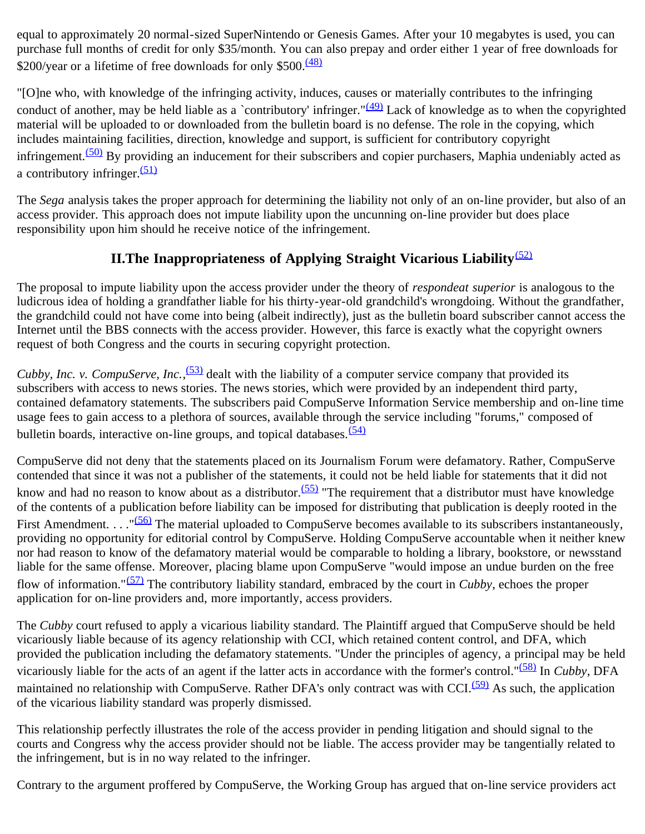equal to approximately 20 normal-sized SuperNintendo or Genesis Games. After your 10 megabytes is used, you can purchase full months of credit for only \$35/month. You can also prepay and order either 1 year of free downloads for \$200/year or a lifetime of free downloads for only \$500.<sup>[\(48\)](#page-9-10)</sup>

"[O]ne who, with knowledge of the infringing activity, induces, causes or materially contributes to the infringing conduct of another, may be held liable as a `contributory' infringer." $(49)$  Lack of knowledge as to when the copyrighted material will be uploaded to or downloaded from the bulletin board is no defense. The role in the copying, which includes maintaining facilities, direction, knowledge and support, is sufficient for contributory copyright infringement.<sup> $(50)$ </sup> By providing an inducement for their subscribers and copier purchasers, Maphia undeniably acted as a contributory infringer. $(51)$ 

The *Sega* analysis takes the proper approach for determining the liability not only of an on-line provider, but also of an access provider. This approach does not impute liability upon the uncunning on-line provider but does place responsibility upon him should he receive notice of the infringement.

### **II. The Inappropriateness of Applying Straight Vicarious Liability**<sup>[\(52\)](#page-9-14)</sup>

The proposal to impute liability upon the access provider under the theory of *respondeat superior* is analogous to the ludicrous idea of holding a grandfather liable for his thirty-year-old grandchild's wrongdoing. Without the grandfather, the grandchild could not have come into being (albeit indirectly), just as the bulletin board subscriber cannot access the Internet until the BBS connects with the access provider. However, this farce is exactly what the copyright owners request of both Congress and the courts in securing copyright protection.

*Cubby, Inc. v. CompuServe, Inc.*,<sup>(53)</sup> dealt with the liability of a computer service company that provided its subscribers with access to news stories. The news stories, which were provided by an independent third party, contained defamatory statements. The subscribers paid CompuServe Information Service membership and on-line time usage fees to gain access to a plethora of sources, available through the service including "forums," composed of bulletin boards, interactive on-line groups, and topical databases. $(54)$ 

CompuServe did not deny that the statements placed on its Journalism Forum were defamatory. Rather, CompuServe contended that since it was not a publisher of the statements, it could not be held liable for statements that it did not know and had no reason to know about as a distributor.<sup>(55)</sup> "The requirement that a distributor must have knowledge of the contents of a publication before liability can be imposed for distributing that publication is deeply rooted in the First Amendment. . . . "<sup>(56)</sup> The material uploaded to CompuServe becomes available to its subscribers instantaneously, providing no opportunity for editorial control by CompuServe. Holding CompuServe accountable when it neither knew nor had reason to know of the defamatory material would be comparable to holding a library, bookstore, or newsstand liable for the same offense. Moreover, placing blame upon CompuServe "would impose an undue burden on the free flow of information."[\(57\)](#page-10-2) The contributory liability standard, embraced by the court in *Cubby*, echoes the proper application for on-line providers and, more importantly, access providers.

The *Cubby* court refused to apply a vicarious liability standard. The Plaintiff argued that CompuServe should be held vicariously liable because of its agency relationship with CCI, which retained content control, and DFA, which provided the publication including the defamatory statements. "Under the principles of agency, a principal may be held vicariously liable for the acts of an agent if the latter acts in accordance with the former's control."[\(58\)](#page-10-3) In *Cubby*, DFA maintained no relationship with CompuServe. Rather DFA's only contract was with CCI.<sup>(59)</sup> As such, the application of the vicarious liability standard was properly dismissed.

This relationship perfectly illustrates the role of the access provider in pending litigation and should signal to the courts and Congress why the access provider should not be liable. The access provider may be tangentially related to the infringement, but is in no way related to the infringer.

Contrary to the argument proffered by CompuServe, the Working Group has argued that on-line service providers act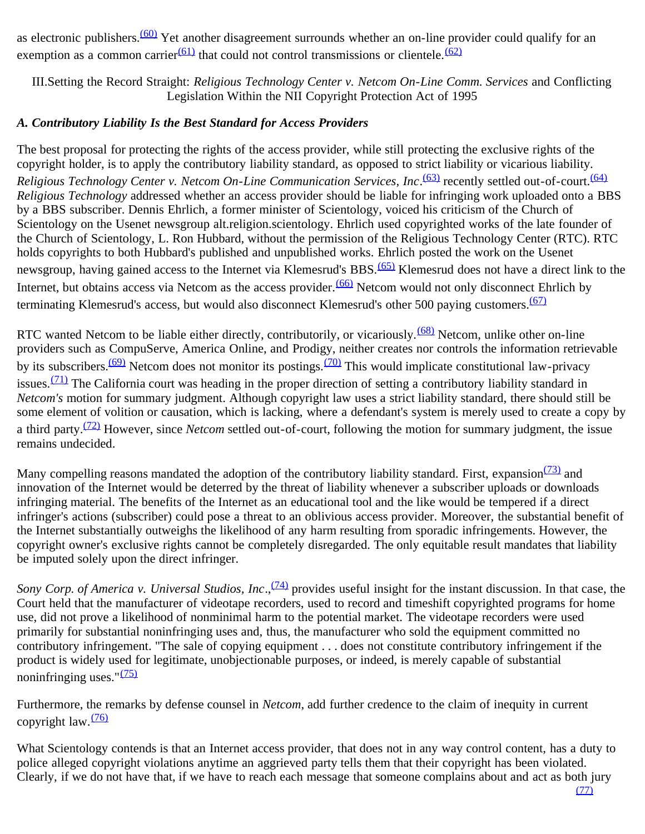as electronic publishers.<sup>(60)</sup> Yet another disagreement surrounds whether an on-line provider could qualify for an exemption as a common carrier<sup>(61)</sup> that could not control transmissions or clientele.<sup>[\(62\)](#page-10-7)</sup>

III.Setting the Record Straight: *Religious Technology Center v. Netcom On-Line Comm. Services* and Conflicting Legislation Within the NII Copyright Protection Act of 1995

#### *A. Contributory Liability Is the Best Standard for Access Providers*

The best proposal for protecting the rights of the access provider, while still protecting the exclusive rights of the copyright holder, is to apply the contributory liability standard, as opposed to strict liability or vicarious liability. Religious Technology Center v. Netcom On-Line Communication Services, Inc.<sup>(63)</sup> recently settled out-of-court.<sup>[\(64\)](#page-10-9)</sup> *Religious Technology* addressed whether an access provider should be liable for infringing work uploaded onto a BBS by a BBS subscriber. Dennis Ehrlich, a former minister of Scientology, voiced his criticism of the Church of Scientology on the Usenet newsgroup alt.religion.scientology. Ehrlich used copyrighted works of the late founder of the Church of Scientology, L. Ron Hubbard, without the permission of the Religious Technology Center (RTC). RTC holds copyrights to both Hubbard's published and unpublished works. Ehrlich posted the work on the Usenet newsgroup, having gained access to the Internet via Klemesrud's BBS.<sup>(65)</sup> Klemesrud does not have a direct link to the Internet, but obtains access via Netcom as the access provider.<sup>(66)</sup> Netcom would not only disconnect Ehrlich by terminating Klemesrud's access, but would also disconnect Klemesrud's other 500 paying customers.<sup>[\(67\)](#page-10-12)</sup>

RTC wanted Netcom to be liable either directly, contributorily, or vicariously.<sup>(68)</sup> Netcom, unlike other on-line providers such as CompuServe, America Online, and Prodigy, neither creates nor controls the information retrievable by its subscribers.<sup>(69)</sup> Netcom does not monitor its postings.<sup>(70)</sup> This would implicate constitutional law-privacy issues. $(71)$  The California court was heading in the proper direction of setting a contributory liability standard in *Netcom's* motion for summary judgment. Although copyright law uses a strict liability standard, there should still be some element of volition or causation, which is lacking, where a defendant's system is merely used to create a copy by a third party.[\(72\)](#page-10-17) However, since *Netcom* settled out-of-court, following the motion for summary judgment, the issue remains undecided.

Many compelling reasons mandated the adoption of the contributory liability standard. First, expansion  $\frac{(73)}{2}$  and innovation of the Internet would be deterred by the threat of liability whenever a subscriber uploads or downloads infringing material. The benefits of the Internet as an educational tool and the like would be tempered if a direct infringer's actions (subscriber) could pose a threat to an oblivious access provider. Moreover, the substantial benefit of the Internet substantially outweighs the likelihood of any harm resulting from sporadic infringements. However, the copyright owner's exclusive rights cannot be completely disregarded. The only equitable result mandates that liability be imputed solely upon the direct infringer.

*Sony Corp. of America v. Universal Studios, Inc.*,<sup>(74)</sup> provides useful insight for the instant discussion. In that case, the Court held that the manufacturer of videotape recorders, used to record and timeshift copyrighted programs for home use, did not prove a likelihood of nonminimal harm to the potential market. The videotape recorders were used primarily for substantial noninfringing uses and, thus, the manufacturer who sold the equipment committed no contributory infringement. "The sale of copying equipment . . . does not constitute contributory infringement if the product is widely used for legitimate, unobjectionable purposes, or indeed, is merely capable of substantial noninfringing uses." $(75)$ 

Furthermore, the remarks by defense counsel in *Netcom*, add further credence to the claim of inequity in current copyright law. $\frac{(76)}{2}$  $\frac{(76)}{2}$  $\frac{(76)}{2}$ 

What Scientology contends is that an Internet access provider, that does not in any way control content, has a duty to police alleged copyright violations anytime an aggrieved party tells them that their copyright has been violated. Clearly, if we do not have that, if we have to reach each message that someone complains about and act as both jury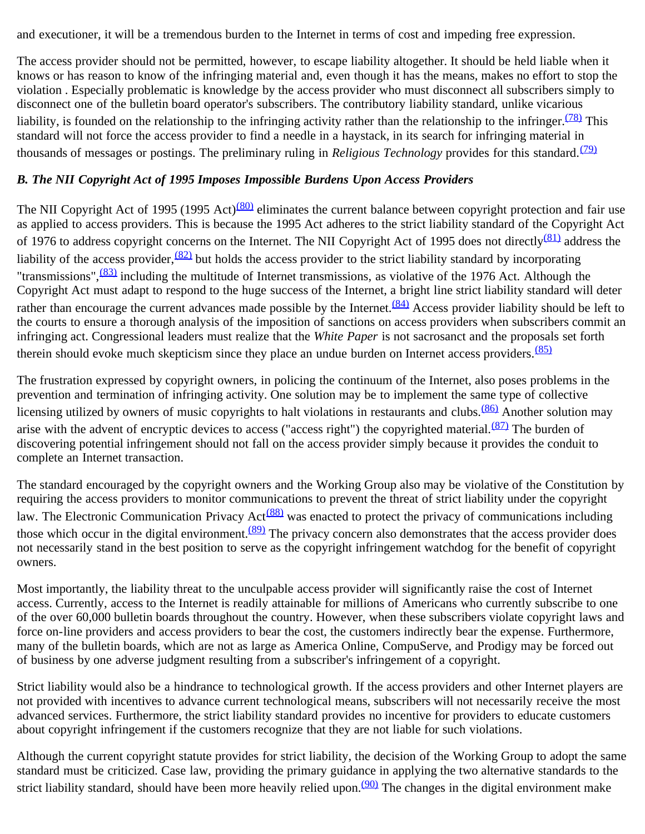and executioner, it will be a tremendous burden to the Internet in terms of cost and impeding free expression.

The access provider should not be permitted, however, to escape liability altogether. It should be held liable when it knows or has reason to know of the infringing material and, even though it has the means, makes no effort to stop the violation . Especially problematic is knowledge by the access provider who must disconnect all subscribers simply to disconnect one of the bulletin board operator's subscribers. The contributory liability standard, unlike vicarious liability, is founded on the relationship to the infringing activity rather than the relationship to the infringer. $\frac{(78)}{100}$  This standard will not force the access provider to find a needle in a haystack, in its search for infringing material in thousands of messages or postings. The preliminary ruling in *Religious Technology* provides for this standard.<sup>[\(79\)](#page-11-3)</sup>

### *B. The NII Copyright Act of 1995 Imposes Impossible Burdens Upon Access Providers*

The NII Copyright Act of 1995 (1995 Act)<sup>(80)</sup> eliminates the current balance between copyright protection and fair use as applied to access providers. This is because the 1995 Act adheres to the strict liability standard of the Copyright Act of 1976 to address copyright concerns on the Internet. The NII Copyright Act of 1995 does not directly<sup>(81)</sup> address the liability of the access provider,  $\frac{(82)}{2}$  but holds the access provider to the strict liability standard by incorporating "transmissions",  $\frac{(83)}{10}$  including the multitude of Internet transmissions, as violative of the 1976 Act. Although the Copyright Act must adapt to respond to the huge success of the Internet, a bright line strict liability standard will deter rather than encourage the current advances made possible by the Internet. $\frac{(84)}{24}$  Access provider liability should be left to the courts to ensure a thorough analysis of the imposition of sanctions on access providers when subscribers commit an infringing act. Congressional leaders must realize that the *White Paper* is not sacrosanct and the proposals set forth therein should evoke much skepticism since they place an undue burden on Internet access providers.  $(85)$ 

The frustration expressed by copyright owners, in policing the continuum of the Internet, also poses problems in the prevention and termination of infringing activity. One solution may be to implement the same type of collective licensing utilized by owners of music copyrights to halt violations in restaurants and clubs.<sup>(86)</sup> Another solution may arise with the advent of encryptic devices to access ("access right") the copyrighted material. $\frac{(87)}{2}$  The burden of discovering potential infringement should not fall on the access provider simply because it provides the conduit to complete an Internet transaction.

The standard encouraged by the copyright owners and the Working Group also may be violative of the Constitution by requiring the access providers to monitor communications to prevent the threat of strict liability under the copyright law. The Electronic Communication Privacy Act<sup>(88)</sup> was enacted to protect the privacy of communications including those which occur in the digital environment. $(89)$  The privacy concern also demonstrates that the access provider does not necessarily stand in the best position to serve as the copyright infringement watchdog for the benefit of copyright owners.

Most importantly, the liability threat to the unculpable access provider will significantly raise the cost of Internet access. Currently, access to the Internet is readily attainable for millions of Americans who currently subscribe to one of the over 60,000 bulletin boards throughout the country. However, when these subscribers violate copyright laws and force on-line providers and access providers to bear the cost, the customers indirectly bear the expense. Furthermore, many of the bulletin boards, which are not as large as America Online, CompuServe, and Prodigy may be forced out of business by one adverse judgment resulting from a subscriber's infringement of a copyright.

Strict liability would also be a hindrance to technological growth. If the access providers and other Internet players are not provided with incentives to advance current technological means, subscribers will not necessarily receive the most advanced services. Furthermore, the strict liability standard provides no incentive for providers to educate customers about copyright infringement if the customers recognize that they are not liable for such violations.

Although the current copyright statute provides for strict liability, the decision of the Working Group to adopt the same standard must be criticized. Case law, providing the primary guidance in applying the two alternative standards to the strict liability standard, should have been more heavily relied upon.<sup>(90)</sup> The changes in the digital environment make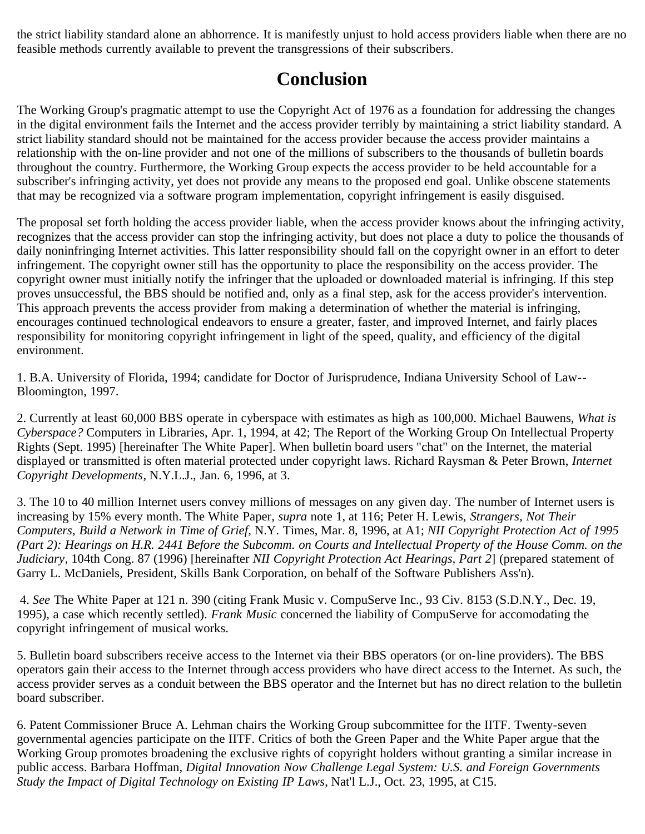the strict liability standard alone an abhorrence. It is manifestly unjust to hold access providers liable when there are no feasible methods currently available to prevent the transgressions of their subscribers.

## **Conclusion**

The Working Group's pragmatic attempt to use the Copyright Act of 1976 as a foundation for addressing the changes in the digital environment fails the Internet and the access provider terribly by maintaining a strict liability standard. A strict liability standard should not be maintained for the access provider because the access provider maintains a relationship with the on-line provider and not one of the millions of subscribers to the thousands of bulletin boards throughout the country. Furthermore, the Working Group expects the access provider to be held accountable for a subscriber's infringing activity, yet does not provide any means to the proposed end goal. Unlike obscene statements that may be recognized via a software program implementation, copyright infringement is easily disguised.

The proposal set forth holding the access provider liable, when the access provider knows about the infringing activity, recognizes that the access provider can stop the infringing activity, but does not place a duty to police the thousands of daily noninfringing Internet activities. This latter responsibility should fall on the copyright owner in an effort to deter infringement. The copyright owner still has the opportunity to place the responsibility on the access provider. The copyright owner must initially notify the infringer that the uploaded or downloaded material is infringing. If this step proves unsuccessful, the BBS should be notified and, only as a final step, ask for the access provider's intervention. This approach prevents the access provider from making a determination of whether the material is infringing, encourages continued technological endeavors to ensure a greater, faster, and improved Internet, and fairly places responsibility for monitoring copyright infringement in light of the speed, quality, and efficiency of the digital environment.

<span id="page-6-0"></span>1. B.A. University of Florida, 1994; candidate for Doctor of Jurisprudence, Indiana University School of Law-- Bloomington, 1997.

<span id="page-6-1"></span>2. Currently at least 60,000 BBS operate in cyberspace with estimates as high as 100,000. Michael Bauwens, *What is Cyberspace?* Computers in Libraries, Apr. 1, 1994, at 42; The Report of the Working Group On Intellectual Property Rights (Sept. 1995) [hereinafter The White Paper]. When bulletin board users "chat" on the Internet, the material displayed or transmitted is often material protected under copyright laws. Richard Raysman & Peter Brown, *Internet Copyright Developments*, N.Y.L.J., Jan. 6, 1996, at 3.

<span id="page-6-2"></span>3. The 10 to 40 million Internet users convey millions of messages on any given day. The number of Internet users is increasing by 15% every month. The White Paper, *supra* note 1, at 116; Peter H. Lewis, *Strangers, Not Their Computers, Build a Network in Time of Grief*, N.Y. Times, Mar. 8, 1996, at A1; *NII Copyright Protection Act of 1995 (Part 2): Hearings on H.R. 2441 Before the Subcomm. on Courts and Intellectual Property of the House Comm. on the Judiciary*, 104th Cong. 87 (1996) [hereinafter *NII Copyright Protection Act Hearings, Part 2*] (prepared statement of Garry L. McDaniels, President, Skills Bank Corporation, on behalf of the Software Publishers Ass'n).

<span id="page-6-3"></span> 4. *See* The White Paper at 121 n. 390 (citing Frank Music v. CompuServe Inc., 93 Civ. 8153 (S.D.N.Y., Dec. 19, 1995), a case which recently settled). *Frank Music* concerned the liability of CompuServe for accomodating the copyright infringement of musical works.

<span id="page-6-4"></span>5. Bulletin board subscribers receive access to the Internet via their BBS operators (or on-line providers). The BBS operators gain their access to the Internet through access providers who have direct access to the Internet. As such, the access provider serves as a conduit between the BBS operator and the Internet but has no direct relation to the bulletin board subscriber.

<span id="page-6-5"></span>6. Patent Commissioner Bruce A. Lehman chairs the Working Group subcommittee for the IITF. Twenty-seven governmental agencies participate on the IITF. Critics of both the Green Paper and the White Paper argue that the Working Group promotes broadening the exclusive rights of copyright holders without granting a similar increase in public access. Barbara Hoffman, *Digital Innovation Now Challenge Legal System: U.S. and Foreign Governments Study the Impact of Digital Technology on Existing IP Laws*, Nat'l L.J., Oct. 23, 1995, at C15.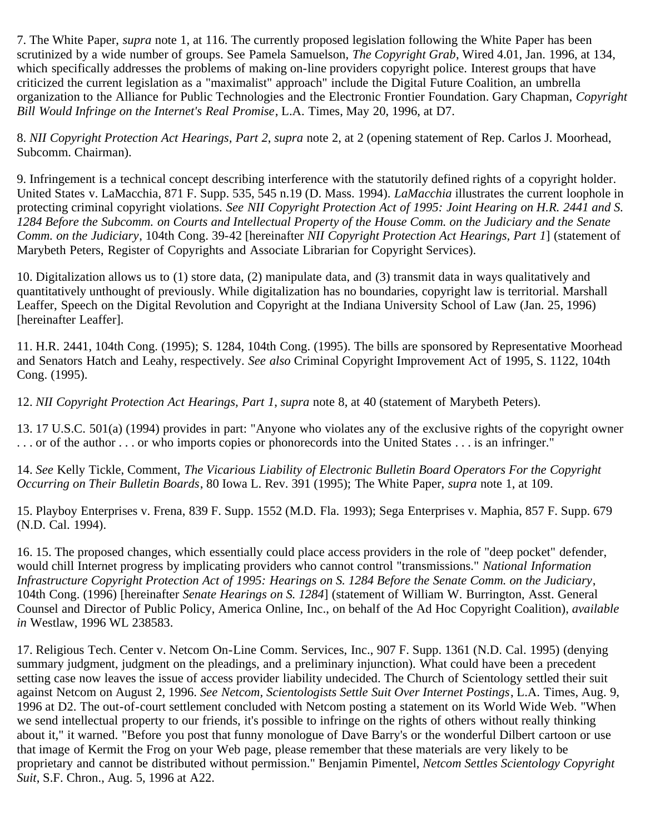<span id="page-7-0"></span>7. The White Paper, *supra* note 1, at 116. The currently proposed legislation following the White Paper has been scrutinized by a wide number of groups. See Pamela Samuelson, *The Copyright Grab*, Wired 4.01, Jan. 1996, at 134, which specifically addresses the problems of making on-line providers copyright police. Interest groups that have criticized the current legislation as a "maximalist" approach" include the Digital Future Coalition, an umbrella organization to the Alliance for Public Technologies and the Electronic Frontier Foundation. Gary Chapman, *Copyright Bill Would Infringe on the Internet's Real Promise*, L.A. Times, May 20, 1996, at D7.

<span id="page-7-1"></span>8. *NII Copyright Protection Act Hearings, Part 2*, *supra* note 2, at 2 (opening statement of Rep. Carlos J. Moorhead, Subcomm. Chairman).

<span id="page-7-2"></span>9. Infringement is a technical concept describing interference with the statutorily defined rights of a copyright holder. United States v. LaMacchia, 871 F. Supp. 535, 545 n.19 (D. Mass. 1994). *LaMacchia* illustrates the current loophole in protecting criminal copyright violations. *See NII Copyright Protection Act of 1995: Joint Hearing on H.R. 2441 and S. 1284 Before the Subcomm. on Courts and Intellectual Property of the House Comm. on the Judiciary and the Senate Comm. on the Judiciary*, 104th Cong. 39-42 [hereinafter *NII Copyright Protection Act Hearings, Part 1*] (statement of Marybeth Peters, Register of Copyrights and Associate Librarian for Copyright Services).

<span id="page-7-3"></span>10. Digitalization allows us to (1) store data, (2) manipulate data, and (3) transmit data in ways qualitatively and quantitatively unthought of previously. While digitalization has no boundaries, copyright law is territorial. Marshall Leaffer, Speech on the Digital Revolution and Copyright at the Indiana University School of Law (Jan. 25, 1996) [hereinafter Leaffer].

<span id="page-7-4"></span>11. H.R. 2441, 104th Cong. (1995); S. 1284, 104th Cong. (1995). The bills are sponsored by Representative Moorhead and Senators Hatch and Leahy, respectively. *See also* Criminal Copyright Improvement Act of 1995, S. 1122, 104th Cong. (1995).

<span id="page-7-5"></span>12. *NII Copyright Protection Act Hearings, Part 1*, *supra* note 8, at 40 (statement of Marybeth Peters).

<span id="page-7-6"></span>13. 17 U.S.C. 501(a) (1994) provides in part: "Anyone who violates any of the exclusive rights of the copyright owner . . . or of the author . . . or who imports copies or phonorecords into the United States . . . is an infringer."

<span id="page-7-7"></span>14. *See* Kelly Tickle, Comment, *The Vicarious Liability of Electronic Bulletin Board Operators For the Copyright Occurring on Their Bulletin Boards*, 80 Iowa L. Rev. 391 (1995); The White Paper, *supra* note 1, at 109.

<span id="page-7-8"></span>15. Playboy Enterprises v. Frena, 839 F. Supp. 1552 (M.D. Fla. 1993); Sega Enterprises v. Maphia, 857 F. Supp. 679 (N.D. Cal. 1994).

<span id="page-7-9"></span>16. 15. The proposed changes, which essentially could place access providers in the role of "deep pocket" defender, would chill Internet progress by implicating providers who cannot control "transmissions." *National Information Infrastructure Copyright Protection Act of 1995: Hearings on S. 1284 Before the Senate Comm. on the Judiciary*, 104th Cong. (1996) [hereinafter *Senate Hearings on S. 1284*] (statement of William W. Burrington, Asst. General Counsel and Director of Public Policy, America Online, Inc., on behalf of the Ad Hoc Copyright Coalition), *available in* Westlaw, 1996 WL 238583.

<span id="page-7-10"></span>17. Religious Tech. Center v. Netcom On-Line Comm. Services, Inc., 907 F. Supp. 1361 (N.D. Cal. 1995) (denying summary judgment, judgment on the pleadings, and a preliminary injunction). What could have been a precedent setting case now leaves the issue of access provider liability undecided. The Church of Scientology settled their suit against Netcom on August 2, 1996. *See Netcom, Scientologists Settle Suit Over Internet Postings*, L.A. Times, Aug. 9, 1996 at D2. The out-of-court settlement concluded with Netcom posting a statement on its World Wide Web. "When we send intellectual property to our friends, it's possible to infringe on the rights of others without really thinking about it," it warned. "Before you post that funny monologue of Dave Barry's or the wonderful Dilbert cartoon or use that image of Kermit the Frog on your Web page, please remember that these materials are very likely to be proprietary and cannot be distributed without permission." Benjamin Pimentel, *Netcom Settles Scientology Copyright Suit*, S.F. Chron., Aug. 5, 1996 at A22.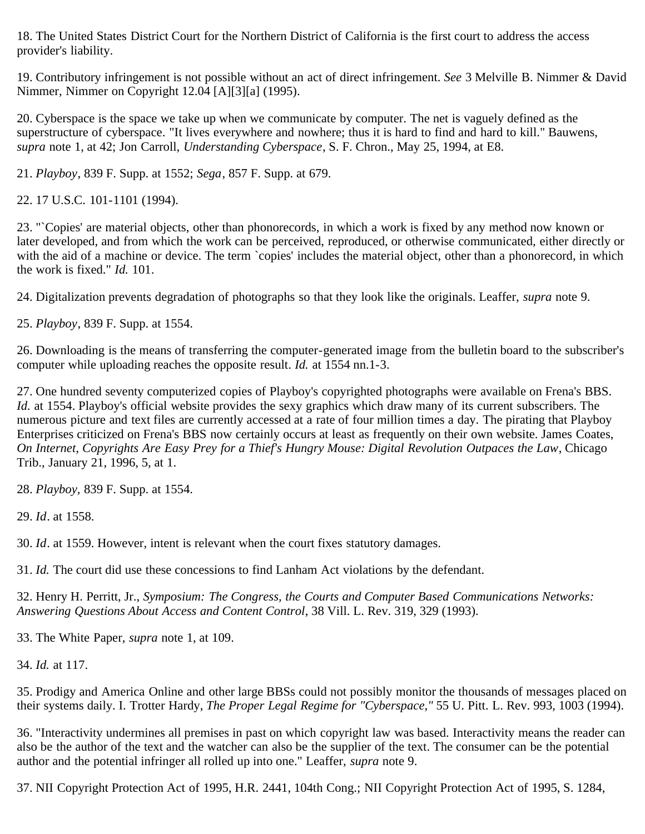<span id="page-8-0"></span>18. The United States District Court for the Northern District of California is the first court to address the access provider's liability.

<span id="page-8-1"></span>19. Contributory infringement is not possible without an act of direct infringement. *See* 3 Melville B. Nimmer & David Nimmer, Nimmer on Copyright 12.04 [A][3][a] (1995).

<span id="page-8-2"></span>20. Cyberspace is the space we take up when we communicate by computer. The net is vaguely defined as the superstructure of cyberspace. "It lives everywhere and nowhere; thus it is hard to find and hard to kill." Bauwens, *supra* note 1, at 42; Jon Carroll, *Understanding Cyberspace*, S. F. Chron., May 25, 1994, at E8.

<span id="page-8-3"></span>21. *Playboy*, 839 F. Supp. at 1552; *Sega*, 857 F. Supp. at 679.

<span id="page-8-4"></span>22. 17 U.S.C. 101-1101 (1994).

<span id="page-8-5"></span>23. "`Copies' are material objects, other than phonorecords, in which a work is fixed by any method now known or later developed, and from which the work can be perceived, reproduced, or otherwise communicated, either directly or with the aid of a machine or device. The term `copies' includes the material object, other than a phonorecord, in which the work is fixed." *Id.* 101.

<span id="page-8-6"></span>24. Digitalization prevents degradation of photographs so that they look like the originals. Leaffer, *supra* note 9.

<span id="page-8-7"></span>25. *Playboy*, 839 F. Supp. at 1554.

<span id="page-8-8"></span>26. Downloading is the means of transferring the computer-generated image from the bulletin board to the subscriber's computer while uploading reaches the opposite result. *Id.* at 1554 nn.1-3.

<span id="page-8-9"></span>27. One hundred seventy computerized copies of Playboy's copyrighted photographs were available on Frena's BBS. *Id.* at 1554. Playboy's official website provides the sexy graphics which draw many of its current subscribers. The numerous picture and text files are currently accessed at a rate of four million times a day. The pirating that Playboy Enterprises criticized on Frena's BBS now certainly occurs at least as frequently on their own website. James Coates, *On Internet, Copyrights Are Easy Prey for a Thief's Hungry Mouse: Digital Revolution Outpaces the Law*, Chicago Trib., January 21, 1996, 5, at 1.

<span id="page-8-10"></span>28. *Playboy,* 839 F. Supp. at 1554.

<span id="page-8-11"></span>29. *Id*. at 1558.

<span id="page-8-12"></span>30. *Id*. at 1559. However, intent is relevant when the court fixes statutory damages.

<span id="page-8-13"></span>31. *Id.* The court did use these concessions to find Lanham Act violations by the defendant.

<span id="page-8-14"></span>32. Henry H. Perritt, Jr., *Symposium: The Congress, the Courts and Computer Based Communications Networks: Answering Questions About Access and Content Control*, 38 Vill. L. Rev. 319, 329 (1993).

<span id="page-8-15"></span>33. The White Paper, *supra* note 1, at 109.

<span id="page-8-16"></span>34. *Id.* at 117.

<span id="page-8-17"></span>35. Prodigy and America Online and other large BBSs could not possibly monitor the thousands of messages placed on their systems daily. I. Trotter Hardy, *The Proper Legal Regime for "Cyberspace,"* 55 U. Pitt. L. Rev. 993, 1003 (1994).

<span id="page-8-18"></span>36. "Interactivity undermines all premises in past on which copyright law was based. Interactivity means the reader can also be the author of the text and the watcher can also be the supplier of the text. The consumer can be the potential author and the potential infringer all rolled up into one." Leaffer, *supra* note 9.

<span id="page-8-19"></span>37. NII Copyright Protection Act of 1995, H.R. 2441, 104th Cong.; NII Copyright Protection Act of 1995, S. 1284,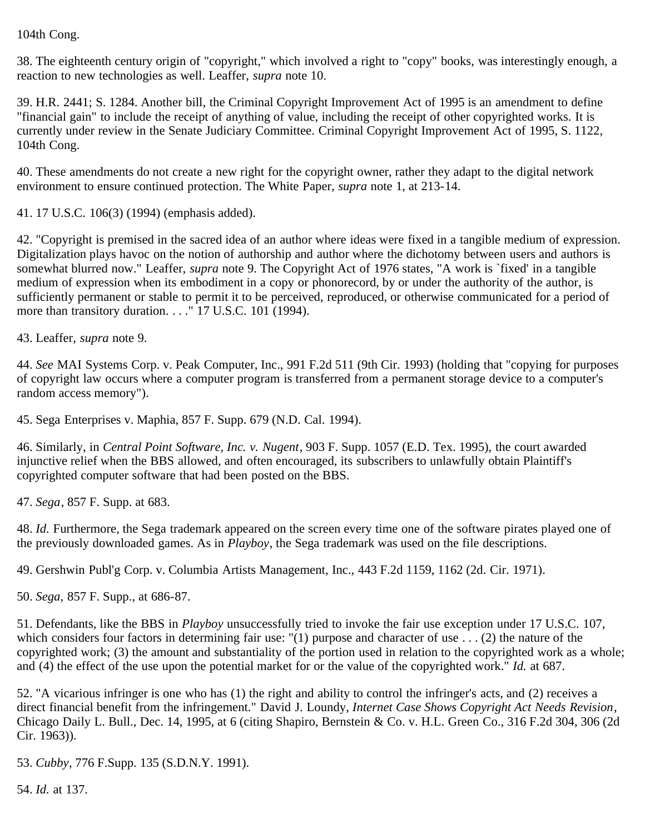104th Cong.

<span id="page-9-0"></span>38. The eighteenth century origin of "copyright," which involved a right to "copy" books, was interestingly enough, a reaction to new technologies as well. Leaffer, *supra* note 10.

<span id="page-9-1"></span>39. H.R. 2441; S. 1284. Another bill, the Criminal Copyright Improvement Act of 1995 is an amendment to define "financial gain" to include the receipt of anything of value, including the receipt of other copyrighted works. It is currently under review in the Senate Judiciary Committee. Criminal Copyright Improvement Act of 1995, S. 1122, 104th Cong.

<span id="page-9-2"></span>40. These amendments do not create a new right for the copyright owner, rather they adapt to the digital network environment to ensure continued protection. The White Paper, *supra* note 1, at 213-14.

<span id="page-9-3"></span>41. 17 U.S.C. 106(3) (1994) (emphasis added).

<span id="page-9-4"></span>42. "Copyright is premised in the sacred idea of an author where ideas were fixed in a tangible medium of expression. Digitalization plays havoc on the notion of authorship and author where the dichotomy between users and authors is somewhat blurred now." Leaffer, *supra* note 9. The Copyright Act of 1976 states, "A work is `fixed' in a tangible medium of expression when its embodiment in a copy or phonorecord, by or under the authority of the author, is sufficiently permanent or stable to permit it to be perceived, reproduced, or otherwise communicated for a period of more than transitory duration. . . . "17 U.S.C. 101 (1994).

<span id="page-9-5"></span>43. Leaffer, *supra* note 9.

<span id="page-9-6"></span>44. *See* MAI Systems Corp. v. Peak Computer, Inc., 991 F.2d 511 (9th Cir. 1993) (holding that "copying for purposes of copyright law occurs where a computer program is transferred from a permanent storage device to a computer's random access memory").

<span id="page-9-7"></span>45. Sega Enterprises v. Maphia, 857 F. Supp. 679 (N.D. Cal. 1994).

<span id="page-9-8"></span>46. Similarly, in *Central Point Software, Inc. v. Nugent*, 903 F. Supp. 1057 (E.D. Tex. 1995), the court awarded injunctive relief when the BBS allowed, and often encouraged, its subscribers to unlawfully obtain Plaintiff's copyrighted computer software that had been posted on the BBS.

<span id="page-9-9"></span>47. *Sega*, 857 F. Supp. at 683.

<span id="page-9-10"></span>48. *Id.* Furthermore, the Sega trademark appeared on the screen every time one of the software pirates played one of the previously downloaded games. As in *Playboy*, the Sega trademark was used on the file descriptions.

<span id="page-9-11"></span>49. Gershwin Publ'g Corp. v. Columbia Artists Management, Inc., 443 F.2d 1159, 1162 (2d. Cir. 1971).

<span id="page-9-12"></span>50. *Sega,* 857 F. Supp., at 686-87.

<span id="page-9-13"></span>51. Defendants, like the BBS in *Playboy* unsuccessfully tried to invoke the fair use exception under 17 U.S.C. 107, which considers four factors in determining fair use: "(1) purpose and character of use  $\ldots$  (2) the nature of the copyrighted work; (3) the amount and substantiality of the portion used in relation to the copyrighted work as a whole; and (4) the effect of the use upon the potential market for or the value of the copyrighted work." *Id.* at 687.

<span id="page-9-14"></span>52. "A vicarious infringer is one who has (1) the right and ability to control the infringer's acts, and (2) receives a direct financial benefit from the infringement." David J. Loundy, *Internet Case Shows Copyright Act Needs Revision*, Chicago Daily L. Bull., Dec. 14, 1995, at 6 (citing Shapiro, Bernstein & Co. v. H.L. Green Co., 316 F.2d 304, 306 (2d Cir. 1963)).

<span id="page-9-15"></span>53. *Cubby*, 776 F.Supp. 135 (S.D.N.Y. 1991).

<span id="page-9-16"></span>54. *Id.* at 137.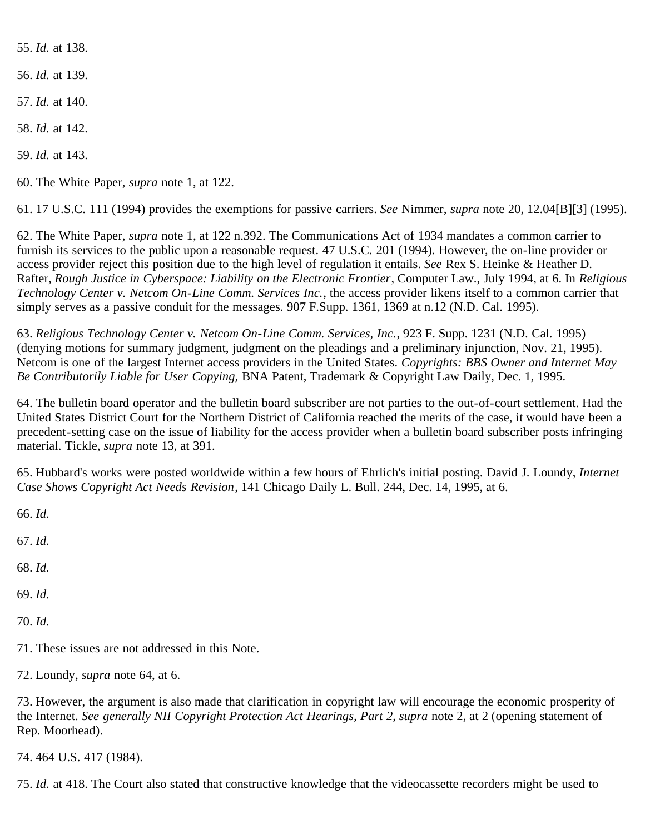<span id="page-10-0"></span>55. *Id.* at 138.

<span id="page-10-1"></span>56. *Id.* at 139.

<span id="page-10-2"></span>57. *Id.* at 140.

<span id="page-10-3"></span>58. *Id.* at 142.

<span id="page-10-4"></span>59. *Id.* at 143.

<span id="page-10-5"></span>60. The White Paper, *supra* note 1, at 122.

<span id="page-10-6"></span>61. 17 U.S.C. 111 (1994) provides the exemptions for passive carriers. *See* Nimmer, *supra* note 20, 12.04[B][3] (1995).

<span id="page-10-7"></span>62. The White Paper, *supra* note 1, at 122 n.392. The Communications Act of 1934 mandates a common carrier to furnish its services to the public upon a reasonable request. 47 U.S.C. 201 (1994). However, the on-line provider or access provider reject this position due to the high level of regulation it entails. *See* Rex S. Heinke & Heather D. Rafter, *Rough Justice in Cyberspace: Liability on the Electronic Frontier*, Computer Law., July 1994, at 6. In *Religious Technology Center v. Netcom On-Line Comm. Services Inc.*, the access provider likens itself to a common carrier that simply serves as a passive conduit for the messages. 907 F.Supp. 1361, 1369 at n.12 (N.D. Cal. 1995).

<span id="page-10-8"></span>63. *Religious Technology Center v. Netcom On-Line Comm. Services, Inc.*, 923 F. Supp. 1231 (N.D. Cal. 1995) (denying motions for summary judgment, judgment on the pleadings and a preliminary injunction, Nov. 21, 1995). Netcom is one of the largest Internet access providers in the United States. *Copyrights: BBS Owner and Internet May Be Contributorily Liable for User Copying,* BNA Patent, Trademark & Copyright Law Daily, Dec. 1, 1995.

<span id="page-10-9"></span>64. The bulletin board operator and the bulletin board subscriber are not parties to the out-of-court settlement. Had the United States District Court for the Northern District of California reached the merits of the case, it would have been a precedent-setting case on the issue of liability for the access provider when a bulletin board subscriber posts infringing material. Tickle, *supra* note 13, at 391.

<span id="page-10-10"></span>65. Hubbard's works were posted worldwide within a few hours of Ehrlich's initial posting. David J. Loundy, *Internet Case Shows Copyright Act Needs Revision*, 141 Chicago Daily L. Bull. 244, Dec. 14, 1995, at 6.

<span id="page-10-11"></span>66. *Id.*

<span id="page-10-12"></span>67. *Id.*

<span id="page-10-13"></span>68. *Id.*

<span id="page-10-14"></span>69. *Id.*

<span id="page-10-15"></span>70. *Id.*

<span id="page-10-16"></span>71. These issues are not addressed in this Note.

<span id="page-10-17"></span>72. Loundy, *supra* note 64, at 6.

<span id="page-10-18"></span>73. However, the argument is also made that clarification in copyright law will encourage the economic prosperity of the Internet. *See generally NII Copyright Protection Act Hearings, Part 2*, *supra* note 2, at 2 (opening statement of Rep. Moorhead).

<span id="page-10-19"></span>74. 464 U.S. 417 (1984).

<span id="page-10-20"></span>75. *Id.* at 418. The Court also stated that constructive knowledge that the videocassette recorders might be used to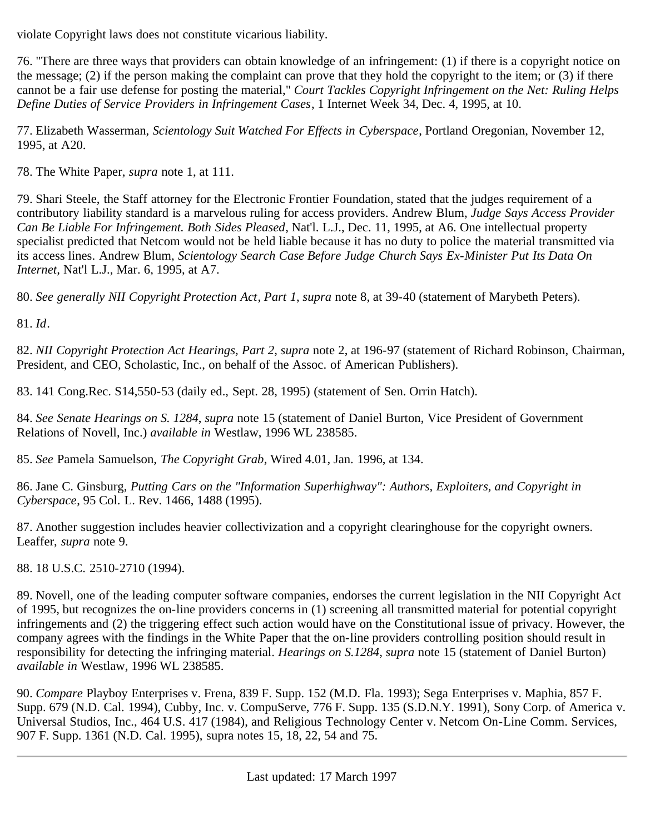violate Copyright laws does not constitute vicarious liability.

<span id="page-11-0"></span>76. "There are three ways that providers can obtain knowledge of an infringement: (1) if there is a copyright notice on the message; (2) if the person making the complaint can prove that they hold the copyright to the item; or (3) if there cannot be a fair use defense for posting the material," *Court Tackles Copyright Infringement on the Net: Ruling Helps Define Duties of Service Providers in Infringement Cases*, 1 Internet Week 34, Dec. 4, 1995, at 10.

<span id="page-11-1"></span>77. Elizabeth Wasserman, *Scientology Suit Watched For Effects in Cyberspace*, Portland Oregonian, November 12, 1995, at A20.

<span id="page-11-2"></span>78. The White Paper, *supra* note 1, at 111.

<span id="page-11-3"></span>79. Shari Steele, the Staff attorney for the Electronic Frontier Foundation, stated that the judges requirement of a contributory liability standard is a marvelous ruling for access providers. Andrew Blum, *Judge Says Access Provider Can Be Liable For Infringement. Both Sides Pleased*, Nat'l. L.J., Dec. 11, 1995, at A6. One intellectual property specialist predicted that Netcom would not be held liable because it has no duty to police the material transmitted via its access lines. Andrew Blum, *Scientology Search Case Before Judge Church Says Ex-Minister Put Its Data On Internet,* Nat'l L.J., Mar. 6, 1995, at A7.

<span id="page-11-4"></span>80. *See generally NII Copyright Protection Act*, *Part 1*, *supra* note 8, at 39-40 (statement of Marybeth Peters).

<span id="page-11-5"></span>81. *Id*.

<span id="page-11-6"></span>82. *NII Copyright Protection Act Hearings, Part 2*, *supra* note 2, at 196-97 (statement of Richard Robinson, Chairman, President, and CEO, Scholastic, Inc., on behalf of the Assoc. of American Publishers).

<span id="page-11-7"></span>83. 141 Cong.Rec. S14,550-53 (daily ed., Sept. 28, 1995) (statement of Sen. Orrin Hatch).

<span id="page-11-8"></span>84. *See Senate Hearings on S. 1284*, *supra* note 15 (statement of Daniel Burton, Vice President of Government Relations of Novell, Inc.) *available in* Westlaw, 1996 WL 238585.

<span id="page-11-9"></span>85. *See* Pamela Samuelson, *The Copyright Grab*, Wired 4.01, Jan. 1996, at 134.

<span id="page-11-10"></span>86. Jane C. Ginsburg, *Putting Cars on the "Information Superhighway": Authors, Exploiters, and Copyright in Cyberspace*, 95 Col. L. Rev. 1466, 1488 (1995).

<span id="page-11-11"></span>87. Another suggestion includes heavier collectivization and a copyright clearinghouse for the copyright owners. Leaffer, *supra* note 9.

<span id="page-11-12"></span>88. 18 U.S.C. 2510-2710 (1994).

<span id="page-11-13"></span>89. Novell, one of the leading computer software companies, endorses the current legislation in the NII Copyright Act of 1995, but recognizes the on-line providers concerns in (1) screening all transmitted material for potential copyright infringements and (2) the triggering effect such action would have on the Constitutional issue of privacy. However, the company agrees with the findings in the White Paper that the on-line providers controlling position should result in responsibility for detecting the infringing material. *Hearings on S.1284*, *supra* note 15 (statement of Daniel Burton) *available in* Westlaw, 1996 WL 238585.

<span id="page-11-14"></span>90. *Compare* Playboy Enterprises v. Frena, 839 F. Supp. 152 (M.D. Fla. 1993); Sega Enterprises v. Maphia, 857 F. Supp. 679 (N.D. Cal. 1994), Cubby, Inc. v. CompuServe, 776 F. Supp. 135 (S.D.N.Y. 1991), Sony Corp. of America v. Universal Studios, Inc., 464 U.S. 417 (1984), and Religious Technology Center v. Netcom On-Line Comm. Services, 907 F. Supp. 1361 (N.D. Cal. 1995), supra notes 15, 18, 22, 54 and 75.